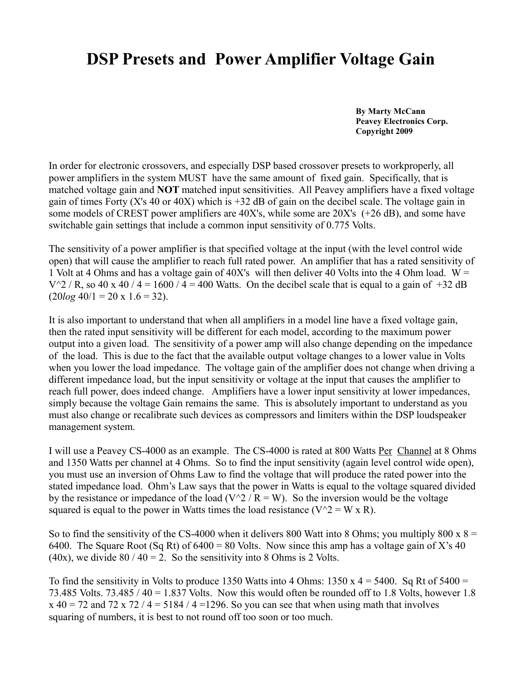## **DSP Presets and Power Amplifier Voltage Gain**

 **By Marty McCann Peavey Electronics Corp. Copyright 2009**

In order for electronic crossovers, and especially DSP based crossover presets to workproperly, all power amplifiers in the system MUST have the same amount of fixed gain. Specifically, that is matched voltage gain and **NOT** matched input sensitivities. All Peavey amplifiers have a fixed voltage gain of times Forty (X's 40 or 40X) which is +32 dB of gain on the decibel scale. The voltage gain in some models of CREST power amplifiers are 40X's, while some are 20X's (+26 dB), and some have switchable gain settings that include a common input sensitivity of 0.775 Volts.

The sensitivity of a power amplifier is that specified voltage at the input (with the level control wide open) that will cause the amplifier to reach full rated power. An amplifier that has a rated sensitivity of 1 Volt at 4 Ohms and has a voltage gain of 40X's will then deliver 40 Volts into the 4 Ohm load.  $W =$  $V^2$  / R, so 40 x 40 / 4 = 1600 / 4 = 400 Watts. On the decibel scale that is equal to a gain of +32 dB  $(20log 40/1 = 20 \times 1.6 = 32)$ .

It is also important to understand that when all amplifiers in a model line have a fixed voltage gain, then the rated input sensitivity will be different for each model, according to the maximum power output into a given load. The sensitivity of a power amp will also change depending on the impedance of the load. This is due to the fact that the available output voltage changes to a lower value in Volts when you lower the load impedance. The voltage gain of the amplifier does not change when driving a different impedance load, but the input sensitivity or voltage at the input that causes the amplifier to reach full power, does indeed change. Amplifiers have a lower input sensitivity at lower impedances, simply because the voltage Gain remains the same. This is absolutely important to understand as you must also change or recalibrate such devices as compressors and limiters within the DSP loudspeaker management system.

I will use a Peavey CS-4000 as an example. The CS-4000 is rated at 800 Watts Per Channel at 8 Ohms and 1350 Watts per channel at 4 Ohms. So to find the input sensitivity (again level control wide open), you must use an inversion of Ohms Law to find the voltage that will produce the rated power into the stated impedance load. Ohm's Law says that the power in Watts is equal to the voltage squared divided by the resistance or impedance of the load ( $V^2 / R = W$ ). So the inversion would be the voltage squared is equal to the power in Watts times the load resistance ( $V^2 = W \times R$ ).

So to find the sensitivity of the CS-4000 when it delivers 800 Watt into 8 Ohms; you multiply 800 x  $8 =$ 6400. The Square Root (Sq Rt) of 6400 = 80 Volts. Now since this amp has a voltage gain of X's 40 (40x), we divide  $80 / 40 = 2$ . So the sensitivity into 8 Ohms is 2 Volts.

To find the sensitivity in Volts to produce 1350 Watts into 4 Ohms:  $1350 \times 4 = 5400$ . Sq Rt of  $5400 =$ 73.485 Volts. 73.485 / 40 = 1.837 Volts. Now this would often be rounded off to 1.8 Volts, however 1.8  $x$  40 = 72 and 72 x 72 / 4 = 5184 / 4 = 1296. So you can see that when using math that involves squaring of numbers, it is best to not round off too soon or too much.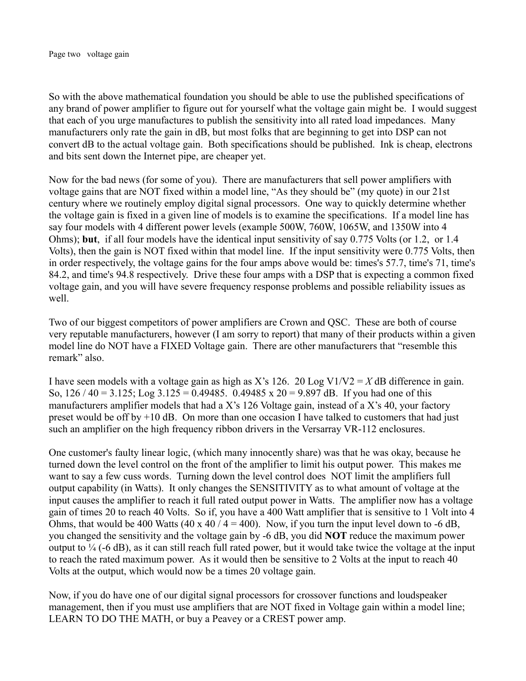So with the above mathematical foundation you should be able to use the published specifications of any brand of power amplifier to figure out for yourself what the voltage gain might be. I would suggest that each of you urge manufactures to publish the sensitivity into all rated load impedances. Many manufacturers only rate the gain in dB, but most folks that are beginning to get into DSP can not convert dB to the actual voltage gain. Both specifications should be published. Ink is cheap, electrons and bits sent down the Internet pipe, are cheaper yet.

Now for the bad news (for some of you). There are manufacturers that sell power amplifiers with voltage gains that are NOT fixed within a model line, "As they should be" (my quote) in our 21st century where we routinely employ digital signal processors. One way to quickly determine whether the voltage gain is fixed in a given line of models is to examine the specifications. If a model line has say four models with 4 different power levels (example 500W, 760W, 1065W, and 1350W into 4 Ohms); **but**, if all four models have the identical input sensitivity of say 0.775 Volts (or 1.2, or 1.4 Volts), then the gain is NOT fixed within that model line. If the input sensitivity were 0.775 Volts, then in order respectively, the voltage gains for the four amps above would be: times's 57.7, time's 71, time's 84.2, and time's 94.8 respectively. Drive these four amps with a DSP that is expecting a common fixed voltage gain, and you will have severe frequency response problems and possible reliability issues as well.

Two of our biggest competitors of power amplifiers are Crown and QSC. These are both of course very reputable manufacturers, however (I am sorry to report) that many of their products within a given model line do NOT have a FIXED Voltage gain. There are other manufacturers that "resemble this remark" also.

I have seen models with a voltage gain as high as X's 126. 20 Log V1/V2 =  $X$  dB difference in gain. So,  $126 / 40 = 3.125$ ; Log  $3.125 = 0.49485$ .  $0.49485 \times 20 = 9.897$  dB. If you had one of this manufacturers amplifier models that had a X's 126 Voltage gain, instead of a X's 40, your factory preset would be off by  $+10$  dB. On more than one occasion I have talked to customers that had just such an amplifier on the high frequency ribbon drivers in the Versarray VR-112 enclosures.

One customer's faulty linear logic, (which many innocently share) was that he was okay, because he turned down the level control on the front of the amplifier to limit his output power. This makes me want to say a few cuss words. Turning down the level control does NOT limit the amplifiers full output capability (in Watts). It only changes the SENSITIVITY as to what amount of voltage at the input causes the amplifier to reach it full rated output power in Watts. The amplifier now has a voltage gain of times 20 to reach 40 Volts. So if, you have a 400 Watt amplifier that is sensitive to 1 Volt into 4 Ohms, that would be 400 Watts (40 x 40 / 4 = 400). Now, if you turn the input level down to -6 dB, you changed the sensitivity and the voltage gain by -6 dB, you did **NOT** reduce the maximum power output to  $\frac{1}{4}$  (-6 dB), as it can still reach full rated power, but it would take twice the voltage at the input to reach the rated maximum power. As it would then be sensitive to 2 Volts at the input to reach 40 Volts at the output, which would now be a times 20 voltage gain.

Now, if you do have one of our digital signal processors for crossover functions and loudspeaker management, then if you must use amplifiers that are NOT fixed in Voltage gain within a model line; LEARN TO DO THE MATH, or buy a Peavey or a CREST power amp.